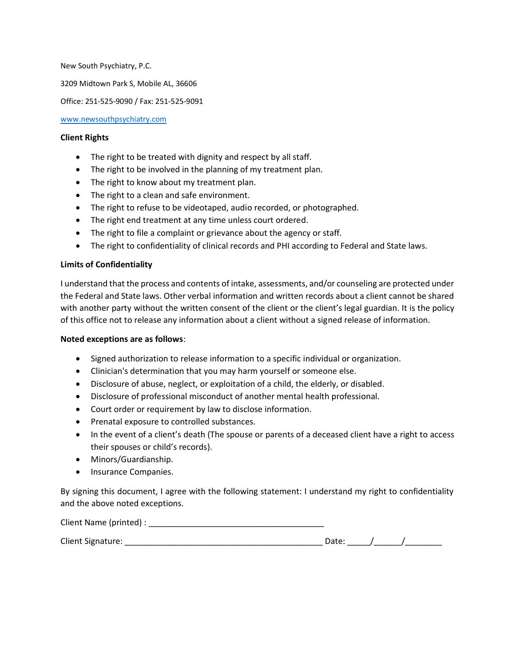New South Psychiatry, P.C.

3209 Midtown Park S, Mobile AL, 36606

Office: 251-525-9090 / Fax: 251-525-9091

[www.newsouthpsychiatry.com](http://www.newsouthpsychiatry.com/)

#### **Client Rights**

- The right to be treated with dignity and respect by all staff.
- The right to be involved in the planning of my treatment plan.
- The right to know about my treatment plan.
- The right to a clean and safe environment.
- The right to refuse to be videotaped, audio recorded, or photographed.
- The right end treatment at any time unless court ordered.
- The right to file a complaint or grievance about the agency or staff.
- The right to confidentiality of clinical records and PHI according to Federal and State laws.

# **Limits of Confidentiality**

I understand that the process and contents of intake, assessments, and/or counseling are protected under the Federal and State laws. Other verbal information and written records about a client cannot be shared with another party without the written consent of the client or the client's legal guardian. It is the policy of this office not to release any information about a client without a signed release of information.

#### **Noted exceptions are as follows**:

- Signed authorization to release information to a specific individual or organization.
- Clinician's determination that you may harm yourself or someone else.
- Disclosure of abuse, neglect, or exploitation of a child, the elderly, or disabled.
- Disclosure of professional misconduct of another mental health professional.
- Court order or requirement by law to disclose information.
- Prenatal exposure to controlled substances.
- In the event of a client's death (The spouse or parents of a deceased client have a right to access their spouses or child's records).
- Minors/Guardianship.
- Insurance Companies.

By signing this document, I agree with the following statement: I understand my right to confidentiality and the above noted exceptions.

| Client Name (printed) :  |  |  |
|--------------------------|--|--|
| <b>Client Signature:</b> |  |  |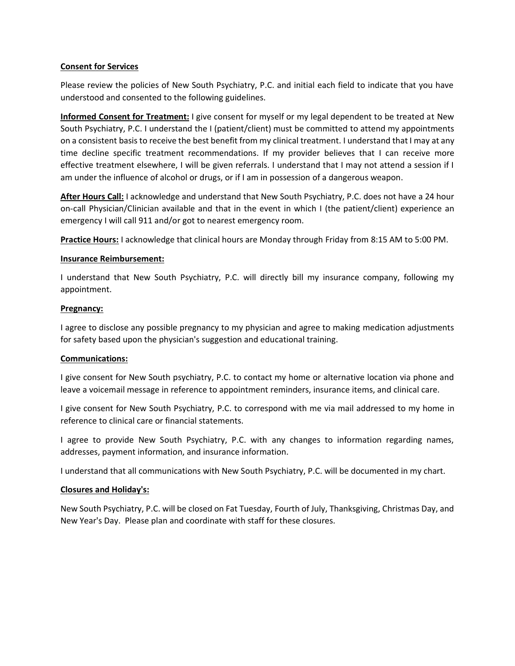# **Consent for Services**

Please review the policies of New South Psychiatry, P.C. and initial each field to indicate that you have understood and consented to the following guidelines.

**Informed Consent for Treatment:** I give consent for myself or my legal dependent to be treated at New South Psychiatry, P.C. I understand the I (patient/client) must be committed to attend my appointments on a consistent basis to receive the best benefit from my clinical treatment. I understand that I may at any time decline specific treatment recommendations. If my provider believes that I can receive more effective treatment elsewhere, I will be given referrals. I understand that I may not attend a session if I am under the influence of alcohol or drugs, or if I am in possession of a dangerous weapon.

**After Hours Call:** I acknowledge and understand that New South Psychiatry, P.C. does not have a 24 hour on-call Physician/Clinician available and that in the event in which I (the patient/client) experience an emergency I will call 911 and/or got to nearest emergency room.

**Practice Hours:** I acknowledge that clinical hours are Monday through Friday from 8:15 AM to 5:00 PM.

# **Insurance Reimbursement:**

I understand that New South Psychiatry, P.C. will directly bill my insurance company, following my appointment.

#### **Pregnancy:**

I agree to disclose any possible pregnancy to my physician and agree to making medication adjustments for safety based upon the physician's suggestion and educational training.

# **Communications:**

I give consent for New South psychiatry, P.C. to contact my home or alternative location via phone and leave a voicemail message in reference to appointment reminders, insurance items, and clinical care.

I give consent for New South Psychiatry, P.C. to correspond with me via mail addressed to my home in reference to clinical care or financial statements.

I agree to provide New South Psychiatry, P.C. with any changes to information regarding names, addresses, payment information, and insurance information.

I understand that all communications with New South Psychiatry, P.C. will be documented in my chart.

#### **Closures and Holiday's:**

New South Psychiatry, P.C. will be closed on Fat Tuesday, Fourth of July, Thanksgiving, Christmas Day, and New Year's Day. Please plan and coordinate with staff for these closures.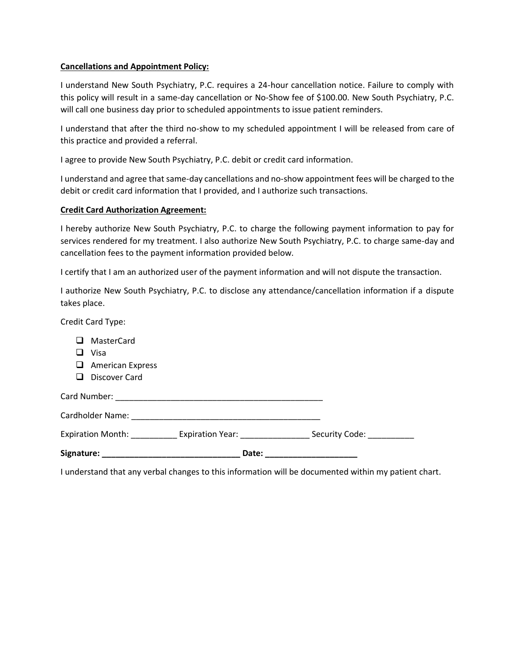# **Cancellations and Appointment Policy:**

I understand New South Psychiatry, P.C. requires a 24-hour cancellation notice. Failure to comply with this policy will result in a same-day cancellation or No-Show fee of \$100.00. New South Psychiatry, P.C. will call one business day prior to scheduled appointments to issue patient reminders.

I understand that after the third no-show to my scheduled appointment I will be released from care of this practice and provided a referral.

I agree to provide New South Psychiatry, P.C. debit or credit card information.

I understand and agree that same-day cancellations and no-show appointment fees will be charged to the debit or credit card information that I provided, and I authorize such transactions.

# **Credit Card Authorization Agreement:**

I hereby authorize New South Psychiatry, P.C. to charge the following payment information to pay for services rendered for my treatment. I also authorize New South Psychiatry, P.C. to charge same-day and cancellation fees to the payment information provided below.

I certify that I am an authorized user of the payment information and will not dispute the transaction.

I authorize New South Psychiatry, P.C. to disclose any attendance/cancellation information if a dispute takes place.

Credit Card Type:

- ❑ MasterCard ❑ Visa
- 
- ❑ American Express
- ❑ Discover Card

Card Number: \_\_\_\_\_\_\_\_\_\_\_\_\_\_\_\_\_\_\_\_\_\_\_\_\_\_\_\_\_\_\_\_\_\_\_\_\_\_\_\_\_\_\_\_\_

Cardholder Name: \_\_\_\_\_\_\_\_\_\_\_\_\_\_\_\_\_\_\_\_\_\_\_\_\_\_\_\_\_\_\_\_\_\_\_\_\_\_\_\_\_

Expiration Month: Expiration Year: \_\_\_\_\_\_\_\_\_\_\_\_\_\_\_\_ Security Code: \_\_\_\_\_\_\_\_\_\_\_\_\_

**Signature: \_\_\_\_\_\_\_\_\_\_\_\_\_\_\_\_\_\_\_\_\_\_\_\_\_\_\_\_\_\_ Date: \_\_\_\_\_\_\_\_\_\_\_\_\_\_\_\_\_\_\_\_**

I understand that any verbal changes to this information will be documented within my patient chart.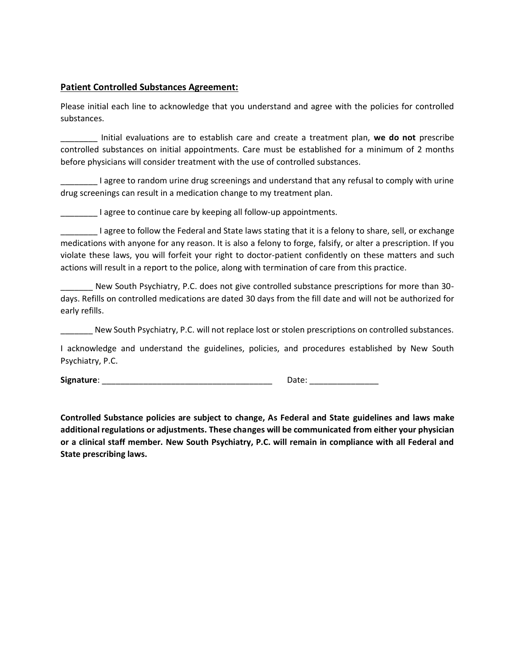# **Patient Controlled Substances Agreement:**

Please initial each line to acknowledge that you understand and agree with the policies for controlled substances.

\_\_\_\_\_\_\_\_ Initial evaluations are to establish care and create a treatment plan, **we do not** prescribe controlled substances on initial appointments. Care must be established for a minimum of 2 months before physicians will consider treatment with the use of controlled substances.

\_\_\_\_\_\_\_\_ I agree to random urine drug screenings and understand that any refusal to comply with urine drug screenings can result in a medication change to my treatment plan.

I agree to continue care by keeping all follow-up appointments.

\_\_\_\_\_\_\_\_ I agree to follow the Federal and State laws stating that it is a felony to share, sell, or exchange medications with anyone for any reason. It is also a felony to forge, falsify, or alter a prescription. If you violate these laws, you will forfeit your right to doctor-patient confidently on these matters and such actions will result in a report to the police, along with termination of care from this practice.

New South Psychiatry, P.C. does not give controlled substance prescriptions for more than 30days. Refills on controlled medications are dated 30 days from the fill date and will not be authorized for early refills.

New South Psychiatry, P.C. will not replace lost or stolen prescriptions on controlled substances.

I acknowledge and understand the guidelines, policies, and procedures established by New South Psychiatry, P.C.

**Signature**: \_\_\_\_\_\_\_\_\_\_\_\_\_\_\_\_\_\_\_\_\_\_\_\_\_\_\_\_\_\_\_\_\_\_\_\_\_ Date: \_\_\_\_\_\_\_\_\_\_\_\_\_\_\_

**Controlled Substance policies are subject to change, As Federal and State guidelines and laws make additional regulations or adjustments. These changes will be communicated from either your physician or a clinical staff member. New South Psychiatry, P.C. will remain in compliance with all Federal and State prescribing laws.**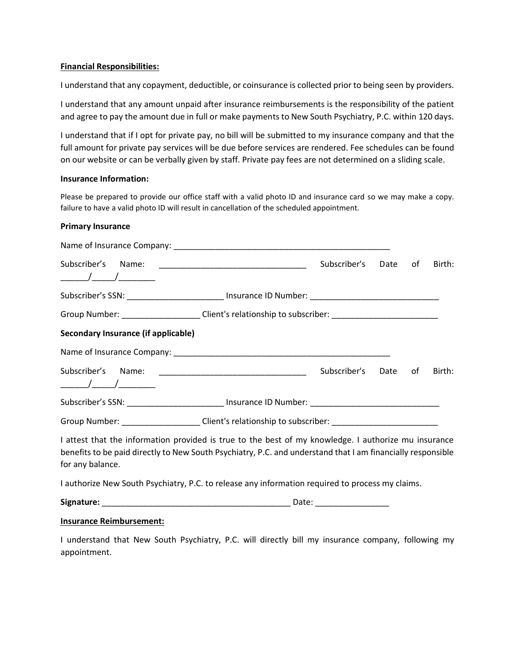#### **Financial Responsibilities:**

I understand that any copayment, deductible, or coinsurance is collected prior to being seen by providers.

I understand that any amount unpaid after insurance reimbursements is the responsibility of the patient and agree to pay the amount due in full or make payments to New South Psychiatry, P.C. within 120 days.

I understand that if I opt for private pay, no bill will be submitted to my insurance company and that the full amount for private pay services will be due before services are rendered. Fee schedules can be found on our website or can be verbally given by staff. Private pay fees are not determined on a sliding scale.

# **Insurance Information:**

Please be prepared to provide our office staff with a valid photo ID and insurance card so we may make a copy. failure to have a valid photo ID will result in cancellation of the scheduled appointment.

# **Primary Insurance**

|                                                                                                                                                                                                                                         |                                                                                                     | Subscriber's | Date | of | Birth: |  |  |
|-----------------------------------------------------------------------------------------------------------------------------------------------------------------------------------------------------------------------------------------|-----------------------------------------------------------------------------------------------------|--------------|------|----|--------|--|--|
| Subscriber's SSN: _____________________________ Insurance ID Number: ______________________________                                                                                                                                     |                                                                                                     |              |      |    |        |  |  |
|                                                                                                                                                                                                                                         | Group Number: ______________________Client's relationship to subscriber: __________________________ |              |      |    |        |  |  |
| Secondary Insurance (if applicable)                                                                                                                                                                                                     |                                                                                                     |              |      |    |        |  |  |
|                                                                                                                                                                                                                                         |                                                                                                     |              |      |    |        |  |  |
|                                                                                                                                                                                                                                         |                                                                                                     | Subscriber's | Date | of | Birth: |  |  |
| Subscriber's SSN: ___________________________ Insurance ID Number: ________________________________                                                                                                                                     |                                                                                                     |              |      |    |        |  |  |
| Group Number: ______________________Client's relationship to subscriber: __________________________                                                                                                                                     |                                                                                                     |              |      |    |        |  |  |
| I attest that the information provided is true to the best of my knowledge. I authorize mu insurance<br>benefits to be paid directly to New South Psychiatry, P.C. and understand that I am financially responsible<br>for any balance. |                                                                                                     |              |      |    |        |  |  |
| I authorize New South Psychiatry, P.C. to release any information required to process my claims.                                                                                                                                        |                                                                                                     |              |      |    |        |  |  |
|                                                                                                                                                                                                                                         |                                                                                                     |              |      |    |        |  |  |
|                                                                                                                                                                                                                                         |                                                                                                     |              |      |    |        |  |  |

#### **Insurance Reimbursement:**

I understand that New South Psychiatry, P.C. will directly bill my insurance company, following my appointment.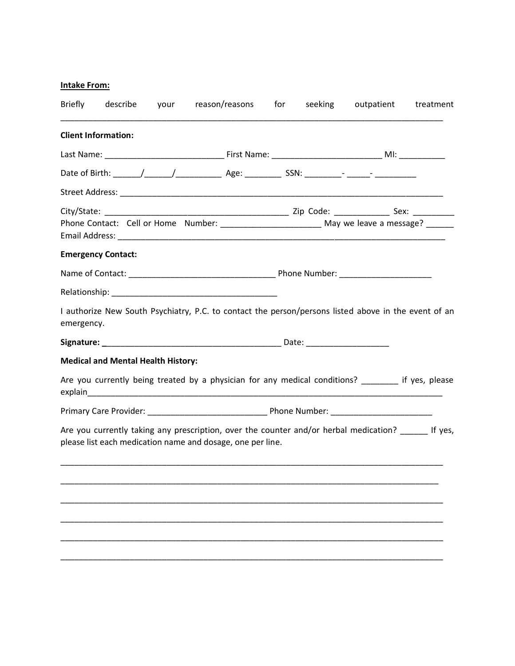# **Intake From:**

| Briefly    | describe                                                                                                             | your | reason/reasons | for | seeking | outpatient                                                                                            | treatment |
|------------|----------------------------------------------------------------------------------------------------------------------|------|----------------|-----|---------|-------------------------------------------------------------------------------------------------------|-----------|
|            | <b>Client Information:</b>                                                                                           |      |                |     |         |                                                                                                       |           |
|            |                                                                                                                      |      |                |     |         |                                                                                                       |           |
|            |                                                                                                                      |      |                |     |         |                                                                                                       |           |
|            |                                                                                                                      |      |                |     |         |                                                                                                       |           |
|            |                                                                                                                      |      |                |     |         | Phone Contact: Cell or Home Number: __________________________ May we leave a message? _______        |           |
|            | <b>Emergency Contact:</b>                                                                                            |      |                |     |         |                                                                                                       |           |
|            |                                                                                                                      |      |                |     |         |                                                                                                       |           |
|            |                                                                                                                      |      |                |     |         |                                                                                                       |           |
| emergency. |                                                                                                                      |      |                |     |         | I authorize New South Psychiatry, P.C. to contact the person/persons listed above in the event of an  |           |
|            |                                                                                                                      |      |                |     |         |                                                                                                       |           |
|            | <b>Medical and Mental Health History:</b>                                                                            |      |                |     |         |                                                                                                       |           |
|            | explain extension of the contract of the contract of the contract of the contract of the contract of the contract of |      |                |     |         | Are you currently being treated by a physician for any medical conditions? _________ if yes, please   |           |
|            |                                                                                                                      |      |                |     |         |                                                                                                       |           |
|            | please list each medication name and dosage, one per line.                                                           |      |                |     |         | Are you currently taking any prescription, over the counter and/or herbal medication? _______ If yes, |           |
|            |                                                                                                                      |      |                |     |         |                                                                                                       |           |
|            |                                                                                                                      |      |                |     |         |                                                                                                       |           |
|            |                                                                                                                      |      |                |     |         |                                                                                                       |           |
|            |                                                                                                                      |      |                |     |         |                                                                                                       |           |
|            |                                                                                                                      |      |                |     |         |                                                                                                       |           |
|            |                                                                                                                      |      |                |     |         |                                                                                                       |           |